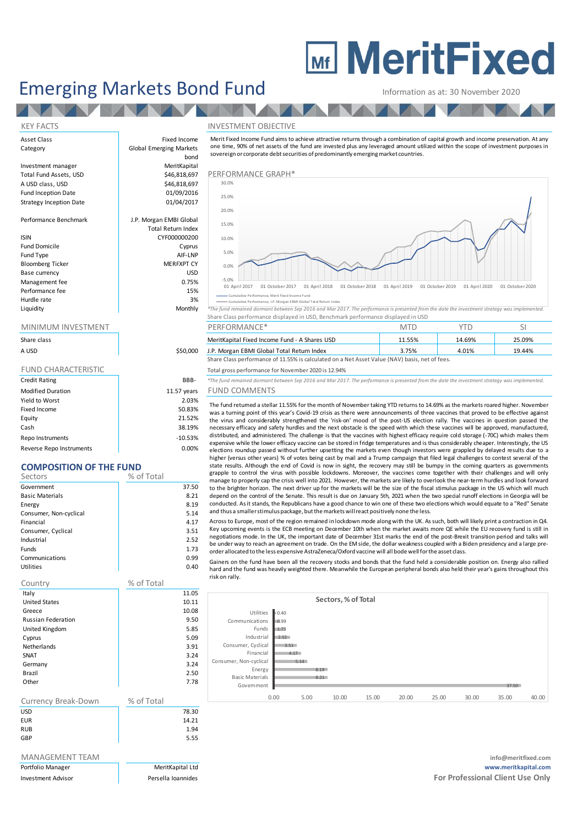# **MEDITE MeritFixed**

# Emerging Markets Bond Fund Information as at: 30 November 2020

### KEY FACTS INVESTMENT OBJECTIVE

**AV** 

Strategy Inception Date

Bloomberg Ticker Base currency USD Management fee between the contraction of the contraction of the contraction of the contraction of the contraction of the contraction of the contraction of the contraction of the contraction of the contraction of the contr Performance fee 15% and 15% and 15% and 15% and 15% and 15% and 15% and 15% and 15% and 15% and 15% and 15% and 15% and 15% and 15% and 15% and 15% and 15% and 15% and 15% and 15% and 15% and 15% and 15% and 15% and 15% an Hurdle rate and the state of the state of the state of the state of the state of the state of the state of the state of the state of the state of the state of the state of the state of the state of the state of the state o

| Share class                |             |
|----------------------------|-------------|
| A USD                      | \$50,000    |
|                            |             |
| <b>FUND CHARACTERISTIC</b> |             |
| <b>Credit Rating</b>       | BBB-        |
| <b>Modified Duration</b>   | 11.57 years |
| Yield to Worst             | 2.03%       |
| Fixed Income               | 50.83%      |
| Equity                     | 21.52%      |

Cash 38.19% Repo Instruments and the contract of the contract of the contract of the contract of the contract of the contract of the contract of the contract of the contract of the contract of the contract of the contract of the contr Reverse Repo Instruments and the control of the control of the control of the control of the control of the control of the control of the control of the control of the control of the control of the control of the control o

## **COMPOSITION OF THE FUND**

| Sectors                | % of Total |       |
|------------------------|------------|-------|
| Government             |            | 37.50 |
| <b>Basic Materials</b> |            | 8.21  |
| Energy                 |            | 8.19  |
| Consumer, Non-cyclical |            | 5.14  |
| Financial              |            | 4.17  |
| Consumer, Cyclical     |            | 3.51  |
| Industrial             |            | 2.52  |
| Funds                  |            | 1.73  |
| Communications         |            | 0.99  |
| Utilities              |            | 0.40  |

| Country                   | % of Total |       |
|---------------------------|------------|-------|
| Italy                     |            | 11.05 |
| <b>United States</b>      |            | 10.11 |
| Greece                    |            | 10.08 |
| <b>Russian Federation</b> |            | 9.50  |
| United Kingdom            |            | 5.85  |
| Cyprus                    |            | 5.09  |
| <b>Netherlands</b>        |            | 3.91  |
| SNAT                      |            | 3.24  |
| Germany                   |            | 3.24  |
| Brazil                    |            | 2.50  |
| Other                     |            | 7.78  |
|                           |            |       |
| Currency Break-Down       | % of Total |       |
| <b>USD</b>                |            | 78.30 |
| <b>EUR</b>                |            | 14.21 |

RUB 1.94 GBP 5.55

| Portfolio Manager |
|-------------------|

Asset Class **Fixed Income** Category **Global Emerging Markets** bond Investment manager **MeritKapital**<br>
Total Fund Assets. USD **MeritKapital** Total Fund Assets, USD **\$46,818,697** PERFORMANCE GRAPH A USD class, USD \$46,818,697 Performance Graph Fund Inception Date **12 bis 1200 million**<br>Strategy Inception Date 1986 million 01/04/2017 Performance Benchmark J.P. Morgan EMBI Global Total Return Index ISIN CYF000000200 Fund Domicile **Cyprus** Fund Type AIF-LNP<br>Bloomberg Ticker AIF-LNP MERFXPT CY

Information as at: 30 November 2020<br>
NVESTMENT OBJECTIVE<br>
Merit Fixed Income Fund aims to achieve attractive returns through a combination of capital growth and income preservation. At any<br>
one time, 90% of net assets of t sovereign or corporate debt securities of predominantly emerging market countries.



Cumulative Performance, Merit Fixed Income Fund Cumulative Performance, J.P. Morgan EBMI Global Total Return Index

|           |         | Share Class performance displayed in USD, Benchmark performance displayed in USD                                                              |  |
|-----------|---------|-----------------------------------------------------------------------------------------------------------------------------------------------|--|
| Liquidity | Monthly | *The fund remained dormant between Sep 2016 and Mar 2017. The performance is presented from the date the investment strategy was implemented. |  |
|           |         |                                                                                                                                               |  |

|             |          | ∟…… ◡                                                                                          |        |        |        |
|-------------|----------|------------------------------------------------------------------------------------------------|--------|--------|--------|
| Share class |          | MeritKapital Fixed Income Fund - A Shares USD                                                  | 11.55% | 14.69% | 25.09% |
| A USD       | \$50,000 | J.P. Morgan EBMI Global Total Return Index                                                     | 3.75%  | 4.01%  | 19.44% |
|             |          | Share Class performance of 11.55% is calculated on a Net Asset Value (NAV) basis, net of fees. |        |        |        |

Total gross performance for November 2020 is 12.94%

Credit Rating BBB- *\*The fund remained dormant between Sep 2016 and Mar 2017. The performance is presented from the date the investment strategy was implemented.*

## ears FUND COMMENTS

The fund returned a stellar 11.55% for the month of November taking YTD returns to 14.69% as the markets roared higher. November was a turning point of this year's Covid-19 crisis as there were announcements of three vaccines that proved to be effective against the virus and considerably strengthened the 'risk-on' mood of the post-US election rally. The vaccines in question passed the necessary efficacy and safety hurdles and the next obstacle is the speed with which these vaccines will be approved, manufactured,<br>distributed, and administered. The challenge is that the vaccines with highest efficacy req The fund remained dormant between Sep 2016 and Mar 2017. The performance is presented from the date the investment strategy was implemented.<br>
FUND COMMENTS<br>
The fund returned a stellar 11.55% for the month of November taki elections roundup passed without further upsetting the markets even though investors were grappled by delayed results due to a higher (versus other years) % of votes being cast by mail and a Trump campaign that filed legal challenges to contest several of the The rundivectual at state in t...3.36 of the montrol rower than the results. Our state in an exact and the results of the results of the vactines in question passed the was a turning point of this year's Covid-19 crisis as grapple to control the virus with possible lockdowns. Moreover, the vaccines come together with their challenges and will only manage to properly cap the crisis well into 2021. However, the markets are likely to overlook the near-term hurdles and look forward netessary entracty and safety nuruse and une mext obstacle is the speed with which tuese vactimes win the approved, niamatatuele, and administered. The challenge is that the vactions with highest efficacy require cold stor state results. Although the end of Covid is now in sight, the recovery may still be bumpy in the coming quarters as governments grapple to control the virus with possible lockdowns. Moreover, the vaccines come together wit and thus a smaller stimulus package, but the markets will react positively none the less. state results. Although the end of Covid is now in sight, the recovery may still be bumpy in the coming quarters as governments<br>grapple to control the virus with possible lockdowns. Moreover, the vaccines come together wit

negotiations mode. In the UK, the important date of December 31st marks the end of the post-Brexit transition period and talks will be under way to reach an agreement on trade. On the EM side, the dollar weakness coupled with a Biden presidency and a large preorder allocated to the less expensive AstraZeneca/Oxford vaccine will all bode well forthe asset class.

Gainers on the fund have been all the recovery stocks and bonds that the fund held a considerable position on. Energy also rallied hard and the fund was heavily weighted there. Meanwhile the European peripheral bonds also held their year's gains throughout this risk on rally.

|                        |              |      | Sectors, % of Total |       |       |       |       |       |       |
|------------------------|--------------|------|---------------------|-------|-------|-------|-------|-------|-------|
| Utilities              | 0.40         |      |                     |       |       |       |       |       |       |
| Communications         | 0.99         |      |                     |       |       |       |       |       |       |
| Funds                  | 1.73         |      |                     |       |       |       |       |       |       |
| Industrial             | 2.52         |      |                     |       |       |       |       |       |       |
| Consumer, Cyclical     | 3.51         |      |                     |       |       |       |       |       |       |
| Financial              | 4.17         |      |                     |       |       |       |       |       |       |
| Consumer, Non-cyclical | 5.14         |      |                     |       |       |       |       |       |       |
| Energy                 |              | 8.19 |                     |       |       |       |       |       |       |
| <b>Basic Materials</b> |              | 8.21 |                     |       |       |       |       |       |       |
| Government             |              |      |                     |       |       |       |       | 37.50 |       |
|                        | 0.00<br>5.00 |      | 10.00               | 15.00 | 20.00 | 25.00 | 30.00 | 35.00 | 40.00 |

### MANAGEMENT TEAM **info@meritfixed.com** Portfolio Manager MeritKapital Ltd **www.meritkapital.com** Investment Advisor **Formulates** Persella Ioannides **Formulates For Professional Client Use Only Formulates For Professional Client Use Only**